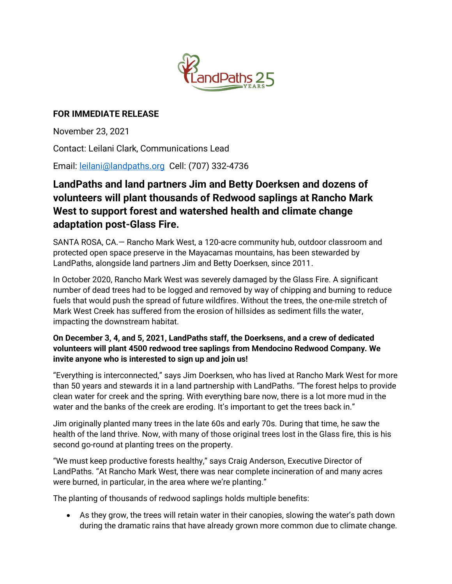

## **FOR IMMEDIATE RELEASE**

November 23, 2021

Contact: Leilani Clark, Communications Lead

Email: [leilani@landpaths.org](mailto:leilani@landpaths.org) Cell: (707) 332-4736

## **LandPaths and land partners Jim and Betty Doerksen and dozens of volunteers will plant thousands of Redwood saplings at Rancho Mark West to support forest and watershed health and climate change adaptation post-Glass Fire.**

SANTA ROSA, CA.— Rancho Mark West, a 120-acre community hub, outdoor classroom and protected open space preserve in the Mayacamas mountains, has been stewarded by LandPaths, alongside land partners Jim and Betty Doerksen, since 2011.

In October 2020, Rancho Mark West was severely damaged by the Glass Fire. A significant number of dead trees had to be logged and removed by way of chipping and burning to reduce fuels that would push the spread of future wildfires. Without the trees, the one-mile stretch of Mark West Creek has suffered from the erosion of hillsides as sediment fills the water, impacting the downstream habitat.

## **On December 3, 4, and 5, 2021, LandPaths staff, the Doerksens, and a crew of dedicated volunteers will plant 4500 redwood tree saplings from Mendocino Redwood Company. We invite anyone who is interested to sign up and join us!**

"Everything is interconnected," says Jim Doerksen, who has lived at Rancho Mark West for more than 50 years and stewards it in a land partnership with LandPaths. "The forest helps to provide clean water for creek and the spring. With everything bare now, there is a lot more mud in the water and the banks of the creek are eroding. It's important to get the trees back in."

Jim originally planted many trees in the late 60s and early 70s. During that time, he saw the health of the land thrive. Now, with many of those original trees lost in the Glass fire, this is his second go-round at planting trees on the property.

"We must keep productive forests healthy," says Craig Anderson, Executive Director of LandPaths. "At Rancho Mark West, there was near complete incineration of and many acres were burned, in particular, in the area where we're planting."

The planting of thousands of redwood saplings holds multiple benefits:

• As they grow, the trees will retain water in their canopies, slowing the water's path down during the dramatic rains that have already grown more common due to climate change.